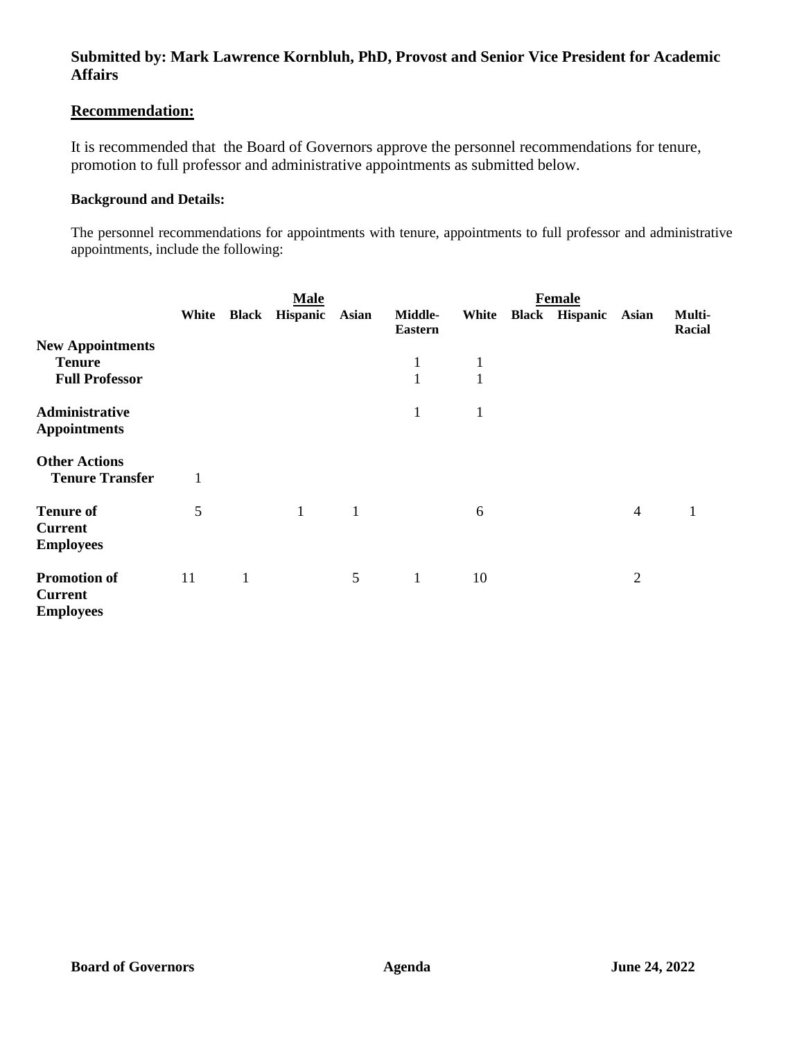# **Recommendation:**

It is recommended that the Board of Governors approve the personnel recommendations for tenure, promotion to full professor and administrative appointments as submitted below.

## **Background and Details:**

The personnel recommendations for appointments with tenure, appointments to full professor and administrative appointments, include the following:

|                                                                   | <b>Male</b> |              |                       |              | <b>Female</b>                |                   |  |                      |                |                  |  |
|-------------------------------------------------------------------|-------------|--------------|-----------------------|--------------|------------------------------|-------------------|--|----------------------|----------------|------------------|--|
|                                                                   | White       |              | <b>Black Hispanic</b> | Asian        | Middle-<br><b>Eastern</b>    | White             |  | Black Hispanic Asian |                | Multi-<br>Racial |  |
| <b>New Appointments</b><br><b>Tenure</b><br><b>Full Professor</b> |             |              |                       |              | $\mathbf{1}$<br>$\mathbf{1}$ | 1<br>$\mathbf{1}$ |  |                      |                |                  |  |
| Administrative<br><b>Appointments</b>                             |             |              |                       |              | $\mathbf{1}$                 | $\mathbf{1}$      |  |                      |                |                  |  |
| <b>Other Actions</b><br><b>Tenure Transfer</b>                    | 1           |              |                       |              |                              |                   |  |                      |                |                  |  |
| <b>Tenure of</b><br><b>Current</b><br><b>Employees</b>            | 5           |              | $\mathbf{1}$          | $\mathbf{1}$ |                              | 6                 |  |                      | $\overline{4}$ | 1                |  |
| <b>Promotion of</b><br><b>Current</b><br><b>Employees</b>         | 11          | $\mathbf{1}$ |                       | 5            | $\mathbf{1}$                 | 10                |  |                      | $\overline{2}$ |                  |  |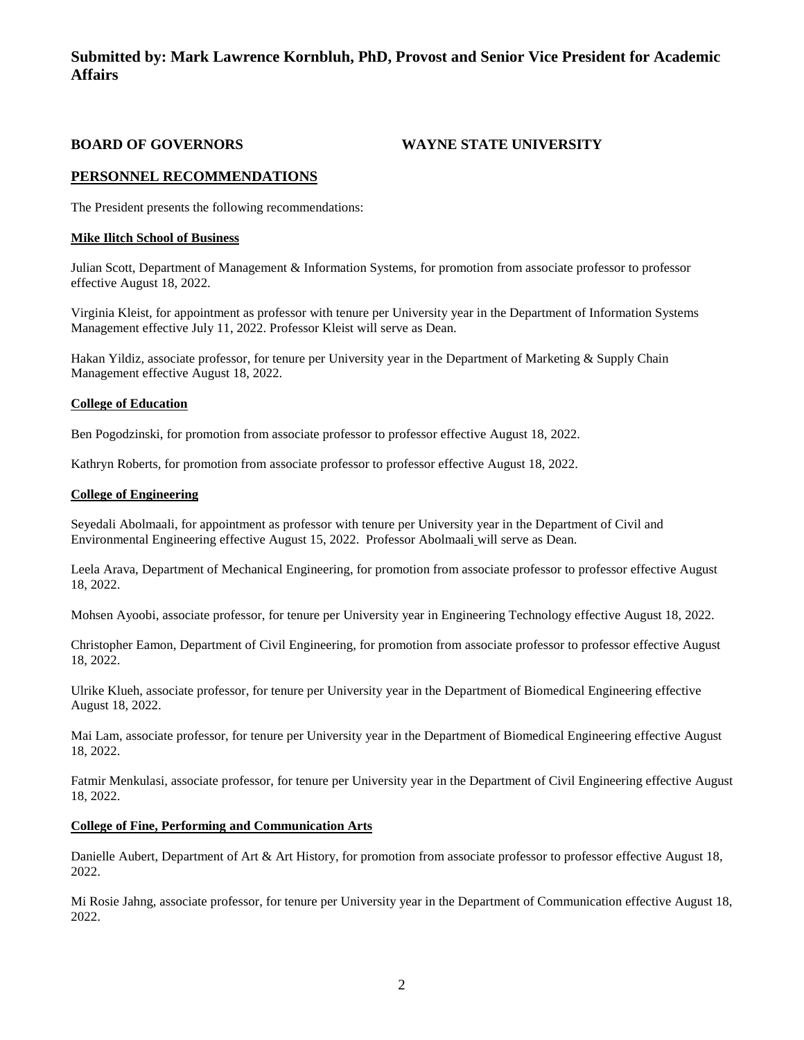## **BOARD OF GOVERNORS WAYNE STATE UNIVERSITY**

## **PERSONNEL RECOMMENDATIONS**

The President presents the following recommendations:

#### **Mike Ilitch School of Business**

Julian Scott, Department of Management & Information Systems, for promotion from associate professor to professor effective August 18, 2022.

Virginia Kleist, for appointment as professor with tenure per University year in the Department of Information Systems Management effective July 11, 2022. Professor Kleist will serve as Dean.

Hakan Yildiz, associate professor, for tenure per University year in the Department of Marketing & Supply Chain Management effective August 18, 2022.

#### **College of Education**

Ben Pogodzinski, for promotion from associate professor to professor effective August 18, 2022.

Kathryn Roberts, for promotion from associate professor to professor effective August 18, 2022.

#### **College of Engineering**

Seyedali Abolmaali, for appointment as professor with tenure per University year in the Department of Civil and Environmental Engineering effective August 15, 2022. Professor Abolmaali will serve as Dean.

Leela Arava, Department of Mechanical Engineering, for promotion from associate professor to professor effective August 18, 2022.

Mohsen Ayoobi, associate professor, for tenure per University year in Engineering Technology effective August 18, 2022.

Christopher Eamon, Department of Civil Engineering, for promotion from associate professor to professor effective August 18, 2022.

Ulrike Klueh, associate professor, for tenure per University year in the Department of Biomedical Engineering effective August 18, 2022.

Mai Lam, associate professor, for tenure per University year in the Department of Biomedical Engineering effective August 18, 2022.

Fatmir Menkulasi, associate professor, for tenure per University year in the Department of Civil Engineering effective August 18, 2022.

#### **College of Fine, Performing and Communication Arts**

Danielle Aubert, Department of Art & Art History, for promotion from associate professor to professor effective August 18, 2022.

Mi Rosie Jahng, associate professor, for tenure per University year in the Department of Communication effective August 18, 2022.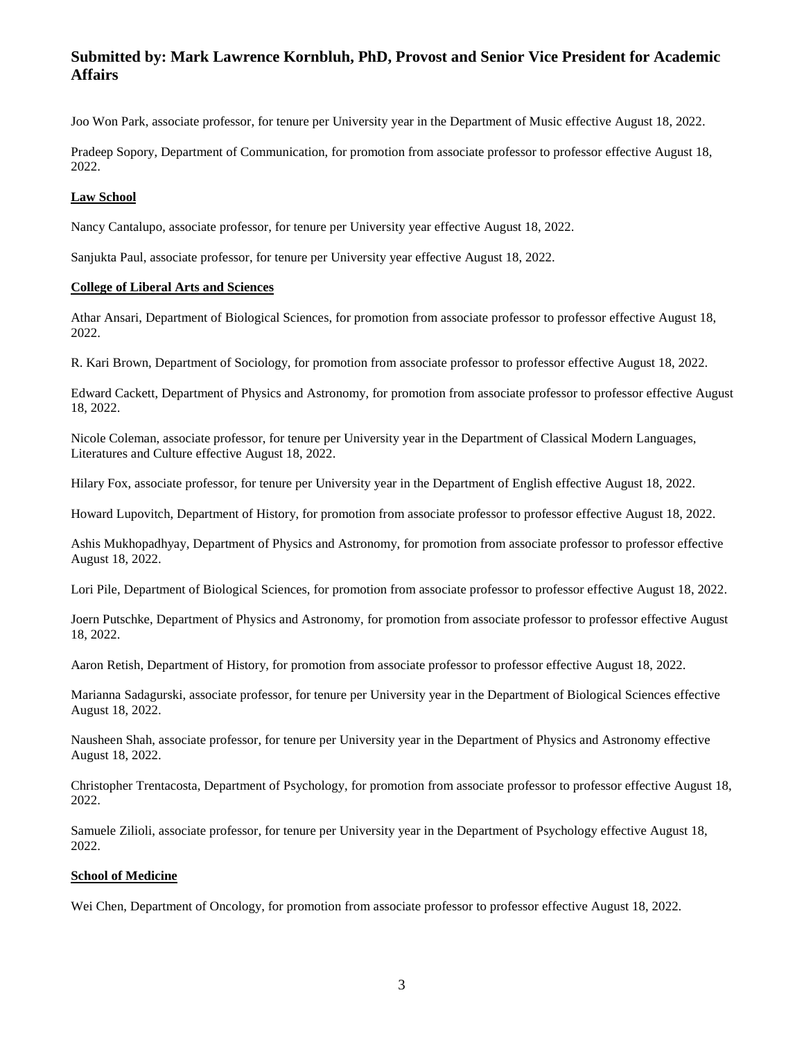Joo Won Park, associate professor, for tenure per University year in the Department of Music effective August 18, 2022.

Pradeep Sopory, Department of Communication, for promotion from associate professor to professor effective August 18, 2022.

#### **Law School**

Nancy Cantalupo, associate professor, for tenure per University year effective August 18, 2022.

Sanjukta Paul, associate professor, for tenure per University year effective August 18, 2022.

#### **College of Liberal Arts and Sciences**

Athar Ansari, Department of Biological Sciences, for promotion from associate professor to professor effective August 18, 2022.

R. Kari Brown, Department of Sociology, for promotion from associate professor to professor effective August 18, 2022.

Edward Cackett, Department of Physics and Astronomy, for promotion from associate professor to professor effective August 18, 2022.

Nicole Coleman, associate professor, for tenure per University year in the Department of Classical Modern Languages, Literatures and Culture effective August 18, 2022.

Hilary Fox, associate professor, for tenure per University year in the Department of English effective August 18, 2022.

Howard Lupovitch, Department of History, for promotion from associate professor to professor effective August 18, 2022.

Ashis Mukhopadhyay, Department of Physics and Astronomy, for promotion from associate professor to professor effective August 18, 2022.

Lori Pile, Department of Biological Sciences, for promotion from associate professor to professor effective August 18, 2022.

Joern Putschke, Department of Physics and Astronomy, for promotion from associate professor to professor effective August 18, 2022.

Aaron Retish, Department of History, for promotion from associate professor to professor effective August 18, 2022.

Marianna Sadagurski, associate professor, for tenure per University year in the Department of Biological Sciences effective August 18, 2022.

Nausheen Shah, associate professor, for tenure per University year in the Department of Physics and Astronomy effective August 18, 2022.

Christopher Trentacosta, Department of Psychology, for promotion from associate professor to professor effective August 18, 2022.

Samuele Zilioli, associate professor, for tenure per University year in the Department of Psychology effective August 18, 2022.

### **School of Medicine**

Wei Chen, Department of Oncology, for promotion from associate professor to professor effective August 18, 2022.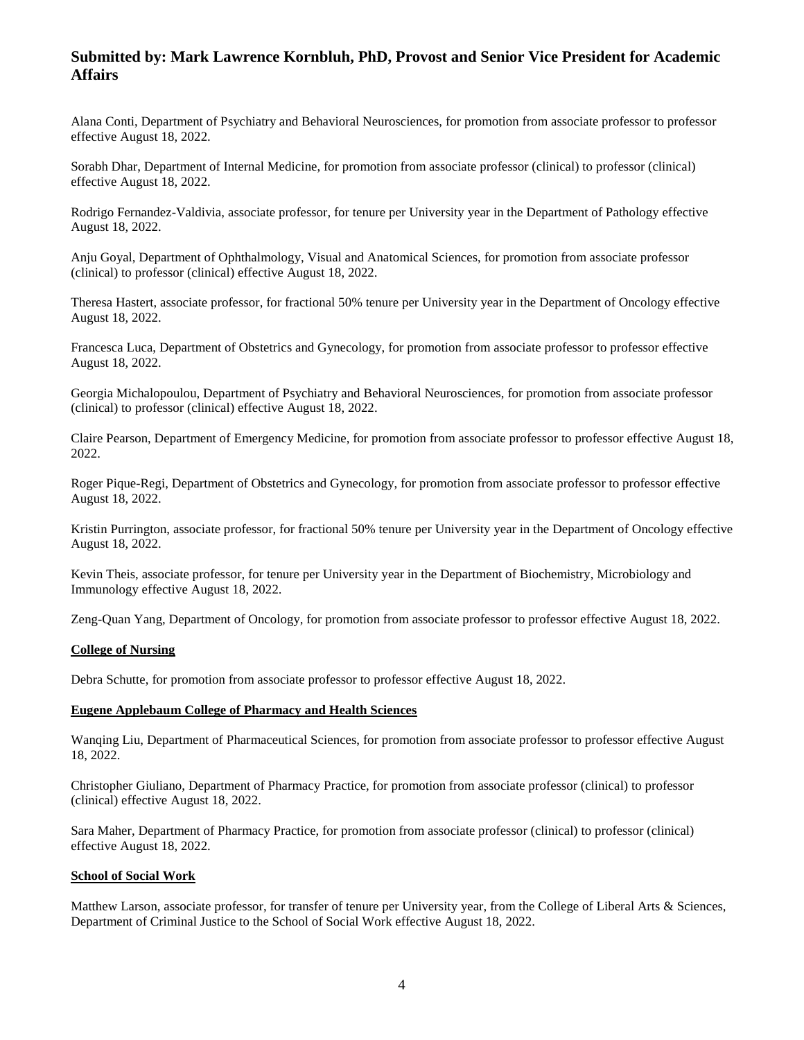Alana Conti, Department of Psychiatry and Behavioral Neurosciences, for promotion from associate professor to professor effective August 18, 2022.

Sorabh Dhar, Department of Internal Medicine, for promotion from associate professor (clinical) to professor (clinical) effective August 18, 2022.

Rodrigo Fernandez-Valdivia, associate professor, for tenure per University year in the Department of Pathology effective August 18, 2022.

Anju Goyal, Department of Ophthalmology, Visual and Anatomical Sciences, for promotion from associate professor (clinical) to professor (clinical) effective August 18, 2022.

Theresa Hastert, associate professor, for fractional 50% tenure per University year in the Department of Oncology effective August 18, 2022.

Francesca Luca, Department of Obstetrics and Gynecology, for promotion from associate professor to professor effective August 18, 2022.

Georgia Michalopoulou, Department of Psychiatry and Behavioral Neurosciences, for promotion from associate professor (clinical) to professor (clinical) effective August 18, 2022.

Claire Pearson, Department of Emergency Medicine, for promotion from associate professor to professor effective August 18, 2022.

Roger Pique-Regi, Department of Obstetrics and Gynecology, for promotion from associate professor to professor effective August 18, 2022.

Kristin Purrington, associate professor, for fractional 50% tenure per University year in the Department of Oncology effective August 18, 2022.

Kevin Theis, associate professor, for tenure per University year in the Department of Biochemistry, Microbiology and Immunology effective August 18, 2022.

Zeng-Quan Yang, Department of Oncology, for promotion from associate professor to professor effective August 18, 2022.

#### **College of Nursing**

Debra Schutte, for promotion from associate professor to professor effective August 18, 2022.

#### **Eugene Applebaum College of Pharmacy and Health Sciences**

Wanqing Liu, Department of Pharmaceutical Sciences, for promotion from associate professor to professor effective August 18, 2022.

Christopher Giuliano, Department of Pharmacy Practice, for promotion from associate professor (clinical) to professor (clinical) effective August 18, 2022.

Sara Maher, Department of Pharmacy Practice, for promotion from associate professor (clinical) to professor (clinical) effective August 18, 2022.

#### **School of Social Work**

Matthew Larson, associate professor, for transfer of tenure per University year, from the College of Liberal Arts & Sciences, Department of Criminal Justice to the School of Social Work effective August 18, 2022.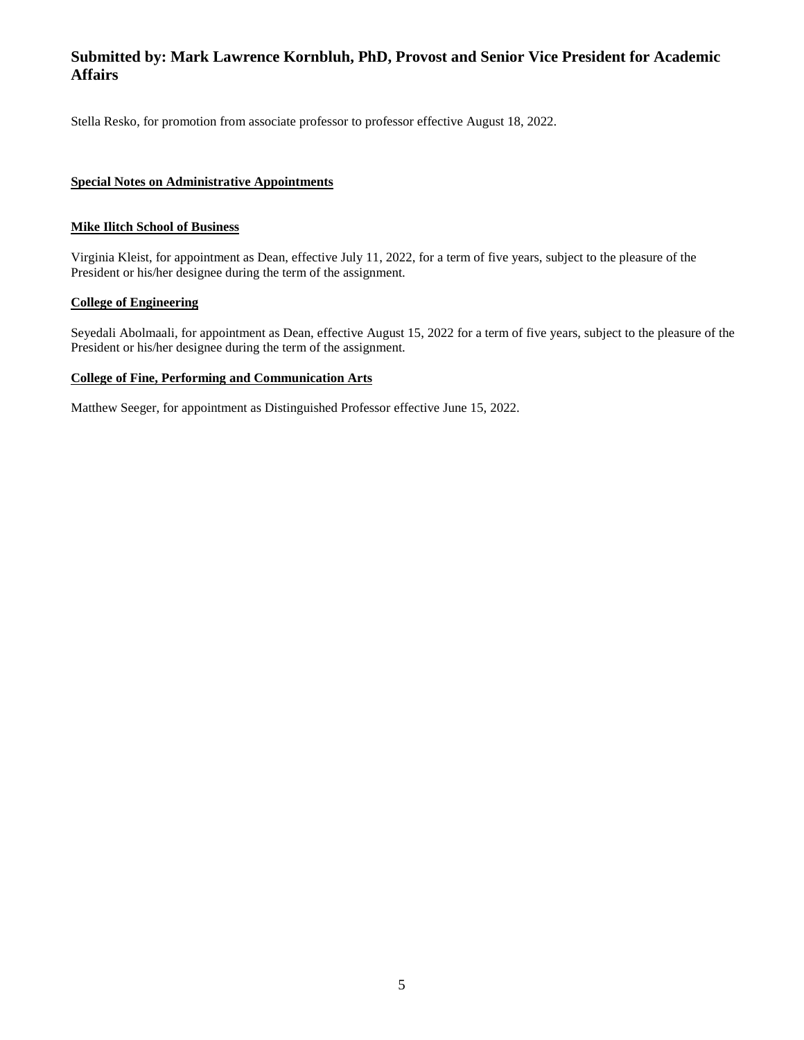Stella Resko, for promotion from associate professor to professor effective August 18, 2022.

## **Special Notes on Administrative Appointments**

## **Mike Ilitch School of Business**

Virginia Kleist, for appointment as Dean, effective July 11, 2022, for a term of five years, subject to the pleasure of the President or his/her designee during the term of the assignment.

## **College of Engineering**

Seyedali Abolmaali, for appointment as Dean, effective August 15, 2022 for a term of five years, subject to the pleasure of the President or his/her designee during the term of the assignment.

## **College of Fine, Performing and Communication Arts**

Matthew Seeger, for appointment as Distinguished Professor effective June 15, 2022.